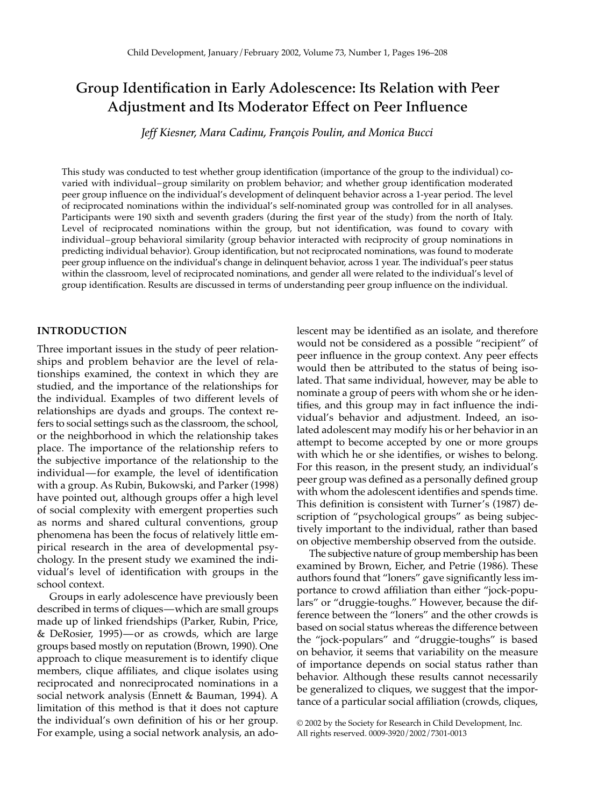# **Group Identification in Early Adolescence: Its Relation with Peer Adjustment and Its Moderator Effect on Peer Influence**

*Jeff Kiesner, Mara Cadinu, François Poulin, and Monica Bucci*

This study was conducted to test whether group identification (importance of the group to the individual) covaried with individual–group similarity on problem behavior; and whether group identification moderated peer group influence on the individual's development of delinquent behavior across a 1-year period. The level of reciprocated nominations within the individual's self-nominated group was controlled for in all analyses. Participants were 190 sixth and seventh graders (during the first year of the study) from the north of Italy. Level of reciprocated nominations within the group, but not identification, was found to covary with individual–group behavioral similarity (group behavior interacted with reciprocity of group nominations in predicting individual behavior). Group identification, but not reciprocated nominations, was found to moderate peer group influence on the individual's change in delinquent behavior, across 1 year. The individual's peer status within the classroom, level of reciprocated nominations, and gender all were related to the individual's level of group identification. Results are discussed in terms of understanding peer group influence on the individual.

## **INTRODUCTION**

Three important issues in the study of peer relationships and problem behavior are the level of relationships examined, the context in which they are studied, and the importance of the relationships for the individual. Examples of two different levels of relationships are dyads and groups. The context refers to social settings such as the classroom, the school, or the neighborhood in which the relationship takes place. The importance of the relationship refers to the subjective importance of the relationship to the individual—for example, the level of identification with a group. As Rubin, Bukowski, and Parker (1998) have pointed out, although groups offer a high level of social complexity with emergent properties such as norms and shared cultural conventions, group phenomena has been the focus of relatively little empirical research in the area of developmental psychology. In the present study we examined the individual's level of identification with groups in the school context.

Groups in early adolescence have previously been described in terms of cliques—which are small groups made up of linked friendships (Parker, Rubin, Price, & DeRosier, 1995)—or as crowds, which are large groups based mostly on reputation (Brown, 1990). One approach to clique measurement is to identify clique members, clique affiliates, and clique isolates using reciprocated and nonreciprocated nominations in a social network analysis (Ennett & Bauman, 1994). A limitation of this method is that it does not capture the individual's own definition of his or her group. For example, using a social network analysis, an adolescent may be identified as an isolate, and therefore would not be considered as a possible "recipient" of peer influence in the group context. Any peer effects would then be attributed to the status of being isolated. That same individual, however, may be able to nominate a group of peers with whom she or he identifies, and this group may in fact influence the individual's behavior and adjustment. Indeed, an isolated adolescent may modify his or her behavior in an attempt to become accepted by one or more groups with which he or she identifies, or wishes to belong. For this reason, in the present study, an individual's peer group was defined as a personally defined group with whom the adolescent identifies and spends time. This definition is consistent with Turner's (1987) description of "psychological groups" as being subjectively important to the individual, rather than based on objective membership observed from the outside.

The subjective nature of group membership has been examined by Brown, Eicher, and Petrie (1986). These authors found that "loners" gave significantly less importance to crowd affiliation than either "jock-populars" or "druggie-toughs." However, because the difference between the "loners" and the other crowds is based on social status whereas the difference between the "jock-populars" and "druggie-toughs" is based on behavior, it seems that variability on the measure of importance depends on social status rather than behavior. Although these results cannot necessarily be generalized to cliques, we suggest that the importance of a particular social affiliation (crowds, cliques,

© 2002 by the Society for Research in Child Development, Inc. All rights reserved. 0009-3920/2002/7301-0013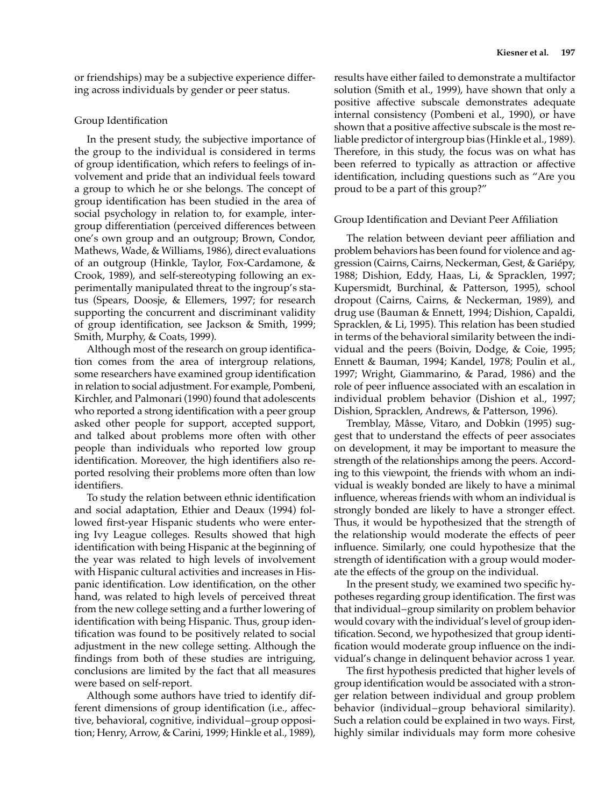or friendships) may be a subjective experience differing across individuals by gender or peer status.

### Group Identification

In the present study, the subjective importance of the group to the individual is considered in terms of group identification, which refers to feelings of involvement and pride that an individual feels toward a group to which he or she belongs. The concept of group identification has been studied in the area of social psychology in relation to, for example, intergroup differentiation (perceived differences between one's own group and an outgroup; Brown, Condor, Mathews, Wade, & Williams, 1986), direct evaluations of an outgroup (Hinkle, Taylor, Fox-Cardamone, & Crook, 1989), and self-stereotyping following an experimentally manipulated threat to the ingroup's status (Spears, Doosje, & Ellemers, 1997; for research supporting the concurrent and discriminant validity of group identification, see Jackson & Smith, 1999; Smith, Murphy, & Coats, 1999).

Although most of the research on group identification comes from the area of intergroup relations, some researchers have examined group identification in relation to social adjustment. For example, Pombeni, Kirchler, and Palmonari (1990) found that adolescents who reported a strong identification with a peer group asked other people for support, accepted support, and talked about problems more often with other people than individuals who reported low group identification. Moreover, the high identifiers also reported resolving their problems more often than low identifiers.

To study the relation between ethnic identification and social adaptation, Ethier and Deaux (1994) followed first-year Hispanic students who were entering Ivy League colleges. Results showed that high identification with being Hispanic at the beginning of the year was related to high levels of involvement with Hispanic cultural activities and increases in Hispanic identification. Low identification, on the other hand, was related to high levels of perceived threat from the new college setting and a further lowering of identification with being Hispanic. Thus, group identification was found to be positively related to social adjustment in the new college setting. Although the findings from both of these studies are intriguing, conclusions are limited by the fact that all measures were based on self-report.

Although some authors have tried to identify different dimensions of group identification (i.e., affective, behavioral, cognitive, individual–group opposition; Henry, Arrow, & Carini, 1999; Hinkle et al., 1989), results have either failed to demonstrate a multifactor solution (Smith et al., 1999), have shown that only a positive affective subscale demonstrates adequate internal consistency (Pombeni et al., 1990), or have shown that a positive affective subscale is the most reliable predictor of intergroup bias (Hinkle et al., 1989). Therefore, in this study, the focus was on what has been referred to typically as attraction or affective identification, including questions such as "Are you proud to be a part of this group?"

## Group Identification and Deviant Peer Affiliation

The relation between deviant peer affiliation and problem behaviors has been found for violence and aggression (Cairns, Cairns, Neckerman, Gest, & Gariépy, 1988; Dishion, Eddy, Haas, Li, & Spracklen, 1997; Kupersmidt, Burchinal, & Patterson, 1995), school dropout (Cairns, Cairns, & Neckerman, 1989), and drug use (Bauman & Ennett, 1994; Dishion, Capaldi, Spracklen, & Li, 1995). This relation has been studied in terms of the behavioral similarity between the individual and the peers (Boivin, Dodge, & Coie, 1995; Ennett & Bauman, 1994; Kandel, 1978; Poulin et al., 1997; Wright, Giammarino, & Parad, 1986) and the role of peer influence associated with an escalation in individual problem behavior (Dishion et al., 1997; Dishion, Spracklen, Andrews, & Patterson, 1996).

Tremblay, Mâsse, Vitaro, and Dobkin (1995) suggest that to understand the effects of peer associates on development, it may be important to measure the strength of the relationships among the peers. According to this viewpoint, the friends with whom an individual is weakly bonded are likely to have a minimal influence, whereas friends with whom an individual is strongly bonded are likely to have a stronger effect. Thus, it would be hypothesized that the strength of the relationship would moderate the effects of peer influence. Similarly, one could hypothesize that the strength of identification with a group would moderate the effects of the group on the individual.

In the present study, we examined two specific hypotheses regarding group identification. The first was that individual–group similarity on problem behavior would covary with the individual's level of group identification. Second, we hypothesized that group identification would moderate group influence on the individual's change in delinquent behavior across 1 year.

The first hypothesis predicted that higher levels of group identification would be associated with a stronger relation between individual and group problem behavior (individual–group behavioral similarity). Such a relation could be explained in two ways. First, highly similar individuals may form more cohesive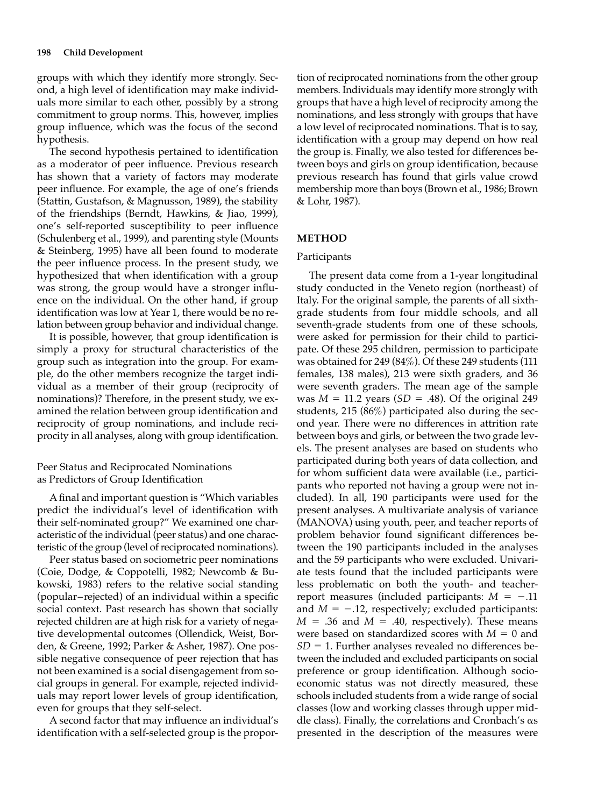groups with which they identify more strongly. Second, a high level of identification may make individuals more similar to each other, possibly by a strong commitment to group norms. This, however, implies group influence, which was the focus of the second hypothesis.

The second hypothesis pertained to identification as a moderator of peer influence. Previous research has shown that a variety of factors may moderate peer influence. For example, the age of one's friends (Stattin, Gustafson, & Magnusson, 1989), the stability of the friendships (Berndt, Hawkins, & Jiao, 1999), one's self-reported susceptibility to peer influence (Schulenberg et al., 1999), and parenting style (Mounts & Steinberg, 1995) have all been found to moderate the peer influence process. In the present study, we hypothesized that when identification with a group was strong, the group would have a stronger influence on the individual. On the other hand, if group identification was low at Year 1, there would be no relation between group behavior and individual change.

It is possible, however, that group identification is simply a proxy for structural characteristics of the group such as integration into the group. For example, do the other members recognize the target individual as a member of their group (reciprocity of nominations)? Therefore, in the present study, we examined the relation between group identification and reciprocity of group nominations, and include reciprocity in all analyses, along with group identification.

# Peer Status and Reciprocated Nominations as Predictors of Group Identification

A final and important question is "Which variables predict the individual's level of identification with their self-nominated group?" We examined one characteristic of the individual (peer status) and one characteristic of the group (level of reciprocated nominations).

Peer status based on sociometric peer nominations (Coie, Dodge, & Coppotelli, 1982; Newcomb & Bukowski, 1983) refers to the relative social standing (popular–rejected) of an individual within a specific social context. Past research has shown that socially rejected children are at high risk for a variety of negative developmental outcomes (Ollendick, Weist, Borden, & Greene, 1992; Parker & Asher, 1987). One possible negative consequence of peer rejection that has not been examined is a social disengagement from social groups in general. For example, rejected individuals may report lower levels of group identification, even for groups that they self-select.

A second factor that may influence an individual's identification with a self-selected group is the propor-

tion of reciprocated nominations from the other group members. Individuals may identify more strongly with groups that have a high level of reciprocity among the nominations, and less strongly with groups that have a low level of reciprocated nominations. That is to say, identification with a group may depend on how real the group is. Finally, we also tested for differences between boys and girls on group identification, because previous research has found that girls value crowd membership more than boys (Brown et al., 1986; Brown & Lohr, 1987).

## **METHOD**

#### Participants

The present data come from a 1-year longitudinal study conducted in the Veneto region (northeast) of Italy. For the original sample, the parents of all sixthgrade students from four middle schools, and all seventh-grade students from one of these schools, were asked for permission for their child to participate. Of these 295 children, permission to participate was obtained for 249 (84%). Of these 249 students (111 females, 138 males), 213 were sixth graders, and 36 were seventh graders. The mean age of the sample was  $M = 11.2$  years ( $SD = .48$ ). Of the original 249 students, 215 (86%) participated also during the second year. There were no differences in attrition rate between boys and girls, or between the two grade levels. The present analyses are based on students who participated during both years of data collection, and for whom sufficient data were available (i.e., participants who reported not having a group were not included). In all, 190 participants were used for the present analyses. A multivariate analysis of variance (MANOVA) using youth, peer, and teacher reports of problem behavior found significant differences between the 190 participants included in the analyses and the 59 participants who were excluded. Univariate tests found that the included participants were less problematic on both the youth- and teacherreport measures (included participants:  $M = -.11$ and  $M = -.12$ , respectively; excluded participants:  $M = .36$  and  $M = .40$ , respectively). These means were based on standardized scores with  $M = 0$  and  $SD = 1$ . Further analyses revealed no differences between the included and excluded participants on social preference or group identification. Although socioeconomic status was not directly measured, these schools included students from a wide range of social classes (low and working classes through upper middle class). Finally, the correlations and Cronbach's  $\alpha$ s presented in the description of the measures were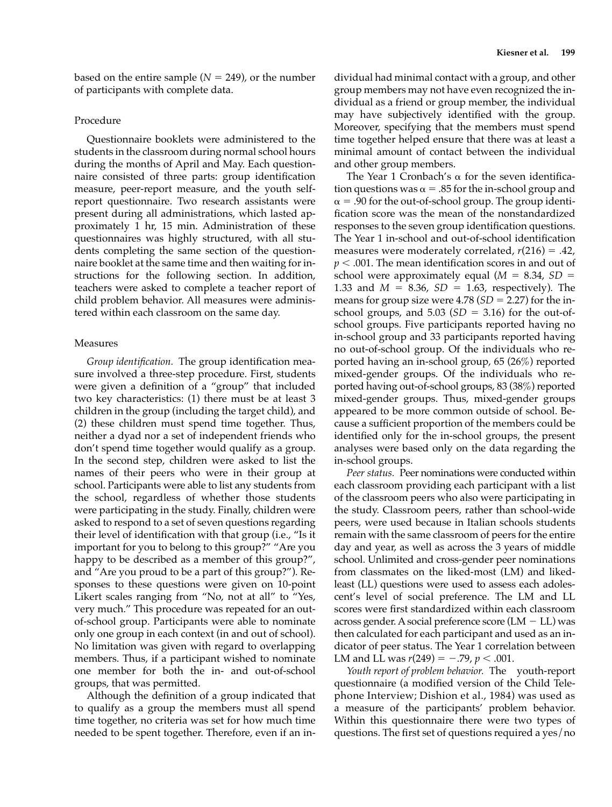based on the entire sample ( $N=$  249), or the number of participants with complete data.

### Procedure

Questionnaire booklets were administered to the students in the classroom during normal school hours during the months of April and May. Each questionnaire consisted of three parts: group identification measure, peer-report measure, and the youth selfreport questionnaire. Two research assistants were present during all administrations, which lasted approximately 1 hr, 15 min. Administration of these questionnaires was highly structured, with all students completing the same section of the questionnaire booklet at the same time and then waiting for instructions for the following section. In addition, teachers were asked to complete a teacher report of child problem behavior. All measures were administered within each classroom on the same day.

#### Measures

*Group identification.* The group identification measure involved a three-step procedure. First, students were given a definition of a "group" that included two key characteristics: (1) there must be at least 3 children in the group (including the target child), and (2) these children must spend time together. Thus, neither a dyad nor a set of independent friends who don't spend time together would qualify as a group. In the second step, children were asked to list the names of their peers who were in their group at school. Participants were able to list any students from the school, regardless of whether those students were participating in the study. Finally, children were asked to respond to a set of seven questions regarding their level of identification with that group (i.e., "Is it important for you to belong to this group?" "Are you happy to be described as a member of this group?", and "Are you proud to be a part of this group?"). Responses to these questions were given on 10-point Likert scales ranging from "No, not at all" to "Yes, very much." This procedure was repeated for an outof-school group. Participants were able to nominate only one group in each context (in and out of school). No limitation was given with regard to overlapping members. Thus, if a participant wished to nominate one member for both the in- and out-of-school groups, that was permitted.

Although the definition of a group indicated that to qualify as a group the members must all spend time together, no criteria was set for how much time needed to be spent together. Therefore, even if an individual had minimal contact with a group, and other group members may not have even recognized the individual as a friend or group member, the individual may have subjectively identified with the group. Moreover, specifying that the members must spend time together helped ensure that there was at least a minimal amount of contact between the individual and other group members.

The Year 1 Cronbach's  $\alpha$  for the seven identification questions was  $\alpha = .85$  for the in-school group and  $\alpha$  = .90 for the out-of-school group. The group identification score was the mean of the nonstandardized responses to the seven group identification questions. The Year 1 in-school and out-of-school identification measures were moderately correlated,  $r(216) = .42$ , *p* .001. The mean identification scores in and out of school were approximately equal  $(M = 8.34, SD =$ 1.33 and  $M = 8.36$ ,  $SD = 1.63$ , respectively). The means for group size were  $4.78$  ( $SD = 2.27$ ) for the inschool groups, and  $5.03$  ( $SD = 3.16$ ) for the out-ofschool groups. Five participants reported having no in-school group and 33 participants reported having no out-of-school group. Of the individuals who reported having an in-school group, 65 (26%) reported mixed-gender groups. Of the individuals who reported having out-of-school groups, 83 (38%) reported mixed-gender groups. Thus, mixed-gender groups appeared to be more common outside of school. Because a sufficient proportion of the members could be identified only for the in-school groups, the present analyses were based only on the data regarding the in-school groups.

*Peer status.* Peer nominations were conducted within each classroom providing each participant with a list of the classroom peers who also were participating in the study. Classroom peers, rather than school-wide peers, were used because in Italian schools students remain with the same classroom of peers for the entire day and year, as well as across the 3 years of middle school. Unlimited and cross-gender peer nominations from classmates on the liked-most (LM) and likedleast (LL) questions were used to assess each adolescent's level of social preference. The LM and LL scores were first standardized within each classroom across gender. A social preference score  $(LM - LL)$  was then calculated for each participant and used as an indicator of peer status. The Year 1 correlation between LM and LL was  $r(249) = -.79$ ,  $p < .001$ .

*Youth report of problem behavior.* The youth-report questionnaire (a modified version of the Child Telephone Interview; Dishion et al., 1984) was used as a measure of the participants' problem behavior. Within this questionnaire there were two types of questions. The first set of questions required a yes/no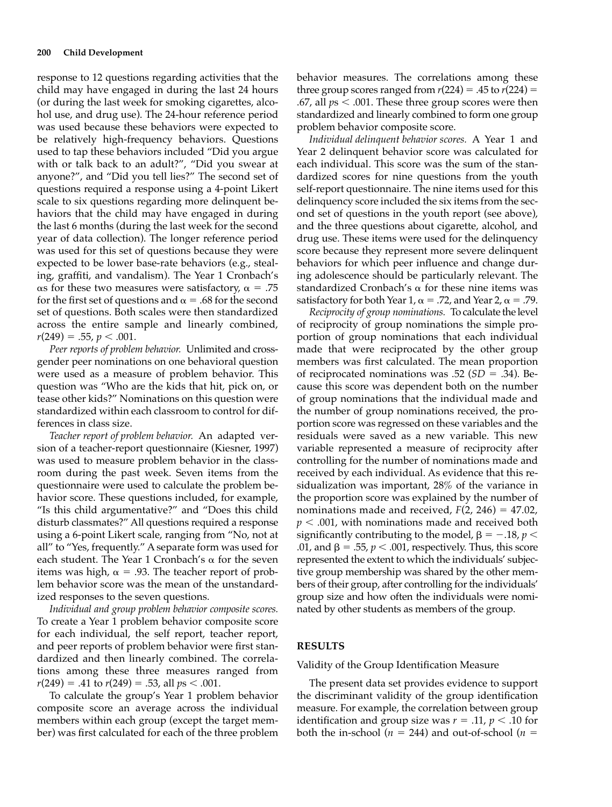response to 12 questions regarding activities that the child may have engaged in during the last 24 hours (or during the last week for smoking cigarettes, alcohol use, and drug use). The 24-hour reference period was used because these behaviors were expected to be relatively high-frequency behaviors. Questions used to tap these behaviors included "Did you argue with or talk back to an adult?", "Did you swear at anyone?", and "Did you tell lies?" The second set of questions required a response using a 4-point Likert scale to six questions regarding more delinquent behaviors that the child may have engaged in during the last 6 months (during the last week for the second year of data collection). The longer reference period was used for this set of questions because they were expected to be lower base-rate behaviors (e.g., stealing, graffiti, and vandalism). The Year 1 Cronbach's  $\alpha$ s for these two measures were satisfactory,  $\alpha = .75$ for the first set of questions and  $\alpha = .68$  for the second set of questions. Both scales were then standardized across the entire sample and linearly combined,  $r(249) = .55$ ,  $p < .001$ .

*Peer reports of problem behavior.* Unlimited and crossgender peer nominations on one behavioral question were used as a measure of problem behavior. This question was "Who are the kids that hit, pick on, or tease other kids?" Nominations on this question were standardized within each classroom to control for differences in class size.

*Teacher report of problem behavior.* An adapted version of a teacher-report questionnaire (Kiesner, 1997) was used to measure problem behavior in the classroom during the past week. Seven items from the questionnaire were used to calculate the problem behavior score. These questions included, for example, "Is this child argumentative?" and "Does this child disturb classmates?" All questions required a response using a 6-point Likert scale, ranging from "No, not at all" to "Yes, frequently." A separate form was used for each student. The Year 1 Cronbach's  $\alpha$  for the seven items was high,  $\alpha$  = .93. The teacher report of problem behavior score was the mean of the unstandardized responses to the seven questions.

*Individual and group problem behavior composite scores.* To create a Year 1 problem behavior composite score for each individual, the self report, teacher report, and peer reports of problem behavior were first standardized and then linearly combined. The correlations among these three measures ranged from  $r(249) = .41$  to  $r(249) = .53$ , all  $ps < .001$ .

To calculate the group's Year 1 problem behavior composite score an average across the individual members within each group (except the target member) was first calculated for each of the three problem behavior measures. The correlations among these three group scores ranged from  $r(224) = .45$  to  $r(224) =$ .67, all  $ps < .001$ . These three group scores were then standardized and linearly combined to form one group problem behavior composite score.

*Individual delinquent behavior scores.* A Year 1 and Year 2 delinquent behavior score was calculated for each individual. This score was the sum of the standardized scores for nine questions from the youth self-report questionnaire. The nine items used for this delinquency score included the six items from the second set of questions in the youth report (see above), and the three questions about cigarette, alcohol, and drug use. These items were used for the delinquency score because they represent more severe delinquent behaviors for which peer influence and change during adolescence should be particularly relevant. The standardized Cronbach's  $\alpha$  for these nine items was satisfactory for both Year 1,  $\alpha =$  .72, and Year 2,  $\alpha =$  .79.

*Reciprocity of group nominations.* To calculate the level of reciprocity of group nominations the simple proportion of group nominations that each individual made that were reciprocated by the other group members was first calculated. The mean proportion of reciprocated nominations was  $.52$  ( $SD = .34$ ). Because this score was dependent both on the number of group nominations that the individual made and the number of group nominations received, the proportion score was regressed on these variables and the residuals were saved as a new variable. This new variable represented a measure of reciprocity after controlling for the number of nominations made and received by each individual. As evidence that this residualization was important, 28% of the variance in the proportion score was explained by the number of nominations made and received,  $F(2, 246) = 47.02$ ,  $p < .001$ , with nominations made and received both significantly contributing to the model,  $\beta = -.18$ ,  $p <$ .01, and  $\beta = .55$ ,  $p < .001$ , respectively. Thus, this score represented the extent to which the individuals' subjective group membership was shared by the other members of their group, after controlling for the individuals' group size and how often the individuals were nominated by other students as members of the group.

### **RESULTS**

Validity of the Group Identification Measure

The present data set provides evidence to support the discriminant validity of the group identification measure. For example, the correlation between group identification and group size was  $r = .11$ ,  $p < .10$  for both the in-school ( $n = 244$ ) and out-of-school ( $n =$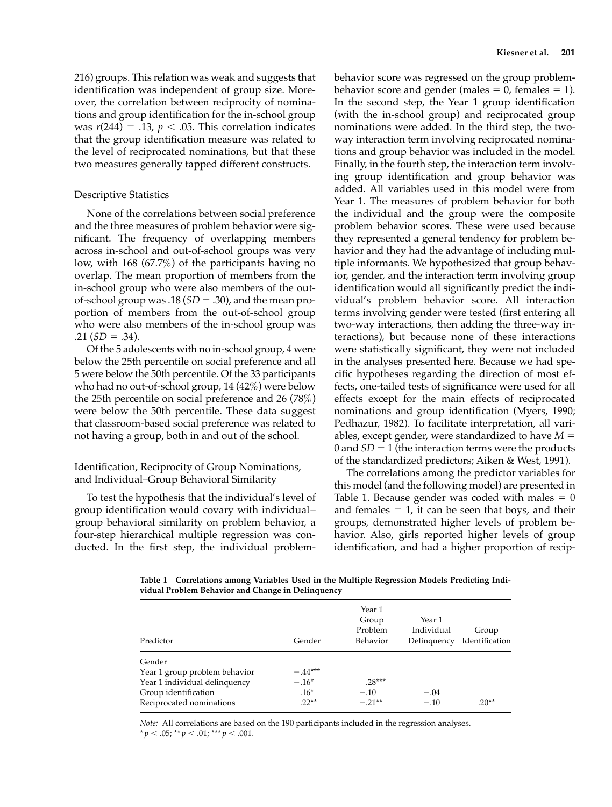216) groups. This relation was weak and suggests that identification was independent of group size. Moreover, the correlation between reciprocity of nominations and group identification for the in-school group was  $r(244) = .13$ ,  $p < .05$ . This correlation indicates that the group identification measure was related to the level of reciprocated nominations, but that these two measures generally tapped different constructs.

# Descriptive Statistics

None of the correlations between social preference and the three measures of problem behavior were significant. The frequency of overlapping members across in-school and out-of-school groups was very low, with 168 (67.7%) of the participants having no overlap. The mean proportion of members from the in-school group who were also members of the outof-school group was  $.18(SD = .30)$ , and the mean proportion of members from the out-of-school group who were also members of the in-school group was  $.21$  (*SD* =  $.34$ ).

Of the 5 adolescents with no in-school group, 4 were below the 25th percentile on social preference and all 5 were below the 50th percentile. Of the 33 participants who had no out-of-school group, 14 (42%) were below the 25th percentile on social preference and 26 (78%) were below the 50th percentile. These data suggest that classroom-based social preference was related to not having a group, both in and out of the school.

# Identification, Reciprocity of Group Nominations, and Individual–Group Behavioral Similarity

To test the hypothesis that the individual's level of group identification would covary with individual– group behavioral similarity on problem behavior, a four-step hierarchical multiple regression was conducted. In the first step, the individual problembehavior score was regressed on the group problembehavior score and gender (males  $= 0$ , females  $= 1$ ). In the second step, the Year 1 group identification (with the in-school group) and reciprocated group nominations were added. In the third step, the twoway interaction term involving reciprocated nominations and group behavior was included in the model. Finally, in the fourth step, the interaction term involving group identification and group behavior was added. All variables used in this model were from Year 1. The measures of problem behavior for both the individual and the group were the composite problem behavior scores. These were used because they represented a general tendency for problem behavior and they had the advantage of including multiple informants. We hypothesized that group behavior, gender, and the interaction term involving group identification would all significantly predict the individual's problem behavior score. All interaction terms involving gender were tested (first entering all two-way interactions, then adding the three-way interactions), but because none of these interactions were statistically significant, they were not included in the analyses presented here. Because we had specific hypotheses regarding the direction of most effects, one-tailed tests of significance were used for all effects except for the main effects of reciprocated nominations and group identification (Myers, 1990; Pedhazur, 1982). To facilitate interpretation, all variables, except gender, were standardized to have  $M =$ 0 and  $SD = 1$  (the interaction terms were the products of the standardized predictors; Aiken & West, 1991).

The correlations among the predictor variables for this model (and the following model) are presented in Table 1. Because gender was coded with males  $= 0$ and females  $= 1$ , it can be seen that boys, and their groups, demonstrated higher levels of problem behavior. Also, girls reported higher levels of group identification, and had a higher proportion of recip-

**Table 1 Correlations among Variables Used in the Multiple Regression Models Predicting Individual Problem Behavior and Change in Delinquency**

| Predictor                     | Gender    | Year 1<br>Group<br>Problem<br>Behavior | Year 1<br>Individual<br>Delinquency | Group<br>Identification |
|-------------------------------|-----------|----------------------------------------|-------------------------------------|-------------------------|
| Gender                        |           |                                        |                                     |                         |
| Year 1 group problem behavior | $-.44***$ |                                        |                                     |                         |
| Year 1 individual delinquency | $-.16*$   | $.28***$                               |                                     |                         |
| Group identification          | $.16*$    | $-.10$                                 | $-.04$                              |                         |
| Reciprocated nominations      | $.22**$   | $-.21**$                               | $-.10$                              | $.20**$                 |

*Note:* All correlations are based on the 190 participants included in the regression analyses.  $* p < .05; ** p < .01; ** p < .001.$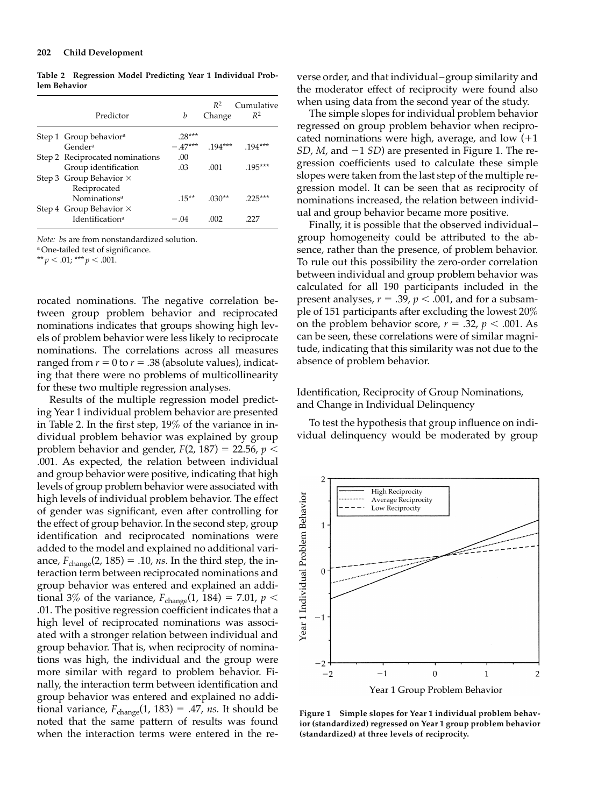#### **202 Child Development**

| Predictor                          | h         | $R^2$<br>Change | Cumulative<br>$R^2$ |
|------------------------------------|-----------|-----------------|---------------------|
| Step 1 Group behavior <sup>a</sup> | $.28***$  |                 |                     |
| Gender <sup>a</sup>                | $-.47***$ | $194***$        |                     |
| Step 2 Reciprocated nominations    | .00       |                 |                     |
| Group identification               | .03       | .001            | $.195***$           |
| Step 3 Group Behavior $\times$     |           |                 |                     |
| Reciprocated                       |           |                 |                     |
| Nominations <sup>a</sup>           | $.15***$  | $.030**$        | フフら                 |
| Step 4 Group Behavior $\times$     |           |                 |                     |
| Identification <sup>a</sup>        | $-.04$    | .002            |                     |

**Table 2 Regression Model Predicting Year 1 Individual Problem Behavior**

*Note: b*s are from nonstandardized solution.

<sup>a</sup> One-tailed test of significance.

 $** p < .01; ** p < .001.$ 

rocated nominations. The negative correlation between group problem behavior and reciprocated nominations indicates that groups showing high levels of problem behavior were less likely to reciprocate nominations. The correlations across all measures ranged from  $r = 0$  to  $r = .38$  (absolute values), indicating that there were no problems of multicollinearity for these two multiple regression analyses.

Results of the multiple regression model predicting Year 1 individual problem behavior are presented in Table 2. In the first step, 19% of the variance in individual problem behavior was explained by group problem behavior and gender,  $F(2, 187) = 22.56$ ,  $p <$ .001. As expected, the relation between individual and group behavior were positive, indicating that high levels of group problem behavior were associated with high levels of individual problem behavior. The effect of gender was significant, even after controlling for the effect of group behavior. In the second step, group identification and reciprocated nominations were added to the model and explained no additional variance,  $F_{\text{change}}(2, 185) = .10$ , *ns*. In the third step, the interaction term between reciprocated nominations and group behavior was entered and explained an additional 3% of the variance,  $F_{\text{change}}(1, 184) = 7.01$ ,  $p <$ .01. The positive regression coefficient indicates that a high level of reciprocated nominations was associated with a stronger relation between individual and group behavior. That is, when reciprocity of nominations was high, the individual and the group were more similar with regard to problem behavior. Finally, the interaction term between identification and group behavior was entered and explained no additional variance,  $F_{change}(1, 183) = .47$ , *ns*. It should be noted that the same pattern of results was found when the interaction terms were entered in the reverse order, and that individual–group similarity and the moderator effect of reciprocity were found also when using data from the second year of the study.

The simple slopes for individual problem behavior regressed on group problem behavior when reciprocated nominations were high, average, and low  $(+1)$ *SD*, *M*, and  $-1$  *SD*) are presented in Figure 1. The regression coefficients used to calculate these simple slopes were taken from the last step of the multiple regression model. It can be seen that as reciprocity of nominations increased, the relation between individual and group behavior became more positive.

Finally, it is possible that the observed individual– group homogeneity could be attributed to the absence, rather than the presence, of problem behavior. To rule out this possibility the zero-order correlation between individual and group problem behavior was calculated for all 190 participants included in the present analyses,  $r = .39$ ,  $p < .001$ , and for a subsample of 151 participants after excluding the lowest 20% on the problem behavior score,  $r = .32$ ,  $p < .001$ . As can be seen, these correlations were of similar magnitude, indicating that this similarity was not due to the absence of problem behavior.

Identification, Reciprocity of Group Nominations, and Change in Individual Delinquency

To test the hypothesis that group influence on individual delinquency would be moderated by group



**Figure 1 Simple slopes for Year 1 individual problem behavior (standardized) regressed on Year 1 group problem behavior (standardized) at three levels of reciprocity.**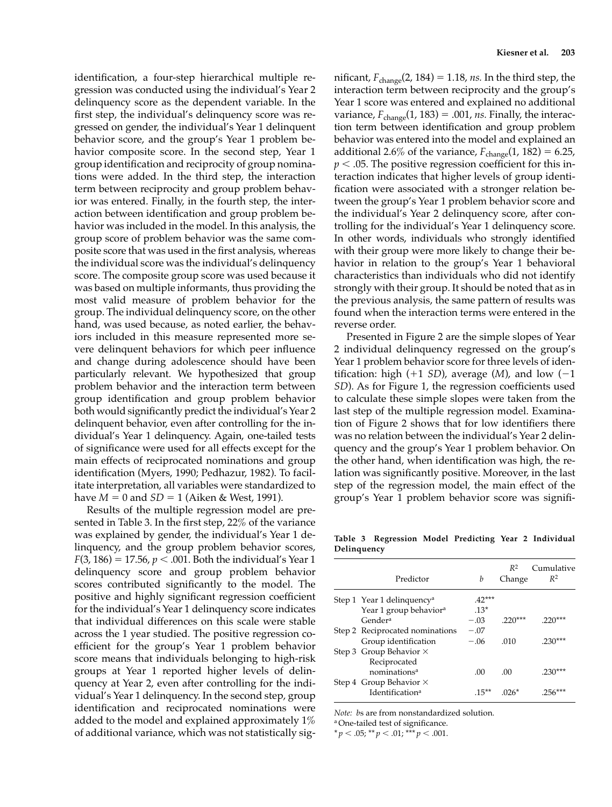identification, a four-step hierarchical multiple regression was conducted using the individual's Year 2 delinquency score as the dependent variable. In the first step, the individual's delinquency score was regressed on gender, the individual's Year 1 delinquent behavior score, and the group's Year 1 problem behavior composite score. In the second step, Year 1 group identification and reciprocity of group nominations were added. In the third step, the interaction term between reciprocity and group problem behavior was entered. Finally, in the fourth step, the interaction between identification and group problem behavior was included in the model. In this analysis, the group score of problem behavior was the same composite score that was used in the first analysis, whereas the individual score was the individual's delinquency score. The composite group score was used because it was based on multiple informants, thus providing the most valid measure of problem behavior for the group. The individual delinquency score, on the other hand, was used because, as noted earlier, the behaviors included in this measure represented more severe delinquent behaviors for which peer influence and change during adolescence should have been particularly relevant. We hypothesized that group problem behavior and the interaction term between group identification and group problem behavior both would significantly predict the individual's Year 2 delinquent behavior, even after controlling for the individual's Year 1 delinquency. Again, one-tailed tests of significance were used for all effects except for the main effects of reciprocated nominations and group identification (Myers, 1990; Pedhazur, 1982). To facilitate interpretation, all variables were standardized to have *M* - 0 and *SD* - 1 (Aiken & West, 1991).

Results of the multiple regression model are presented in Table 3. In the first step, 22% of the variance was explained by gender, the individual's Year 1 delinquency, and the group problem behavior scores, *F*(3, 186) = 17.56,  $p < .001$ . Both the individual's Year 1 delinquency score and group problem behavior scores contributed significantly to the model. The positive and highly significant regression coefficient for the individual's Year 1 delinquency score indicates that individual differences on this scale were stable across the 1 year studied. The positive regression coefficient for the group's Year 1 problem behavior score means that individuals belonging to high-risk groups at Year 1 reported higher levels of delinquency at Year 2, even after controlling for the individual's Year 1 delinquency. In the second step, group identification and reciprocated nominations were added to the model and explained approximately 1% of additional variance, which was not statistically sig-

nificant,  $F_{\text{change}}(2, 184) = 1.18$ , *ns*. In the third step, the interaction term between reciprocity and the group's Year 1 score was entered and explained no additional variance,  $F_{change}(1, 183) = .001$ , *ns*. Finally, the interaction term between identification and group problem behavior was entered into the model and explained an additional 2.6% of the variance,  $F_{change}(1, 182) = 6.25$ ,  $p < .05$ . The positive regression coefficient for this interaction indicates that higher levels of group identification were associated with a stronger relation between the group's Year 1 problem behavior score and the individual's Year 2 delinquency score, after controlling for the individual's Year 1 delinquency score. In other words, individuals who strongly identified with their group were more likely to change their behavior in relation to the group's Year 1 behavioral characteristics than individuals who did not identify strongly with their group. It should be noted that as in the previous analysis, the same pattern of results was found when the interaction terms were entered in the reverse order.

Presented in Figure 2 are the simple slopes of Year 2 individual delinquency regressed on the group's Year 1 problem behavior score for three levels of identification: high  $(+1 SD)$ , average  $(M)$ , and low  $(-1)$ *SD*). As for Figure 1, the regression coefficients used to calculate these simple slopes were taken from the last step of the multiple regression model. Examination of Figure 2 shows that for low identifiers there was no relation between the individual's Year 2 delinquency and the group's Year 1 problem behavior. On the other hand, when identification was high, the relation was significantly positive. Moreover, in the last step of the regression model, the main effect of the group's Year 1 problem behavior score was signifi-

**Table 3 Regression Model Predicting Year 2 Individual Delinquency**

| Predictor                              | h        | R <sup>2</sup><br>Change | Cumulative<br>R <sup>2</sup> |
|----------------------------------------|----------|--------------------------|------------------------------|
| Step 1 Year 1 delinquency <sup>a</sup> | $.42***$ |                          |                              |
| Year 1 group behavior <sup>a</sup>     | $.13*$   |                          |                              |
| Gender <sup>a</sup>                    | $-.03$   | $220***$                 |                              |
| Step 2 Reciprocated nominations        | $-.07$   |                          |                              |
| Group identification                   | $-.06$   | .010                     | $.230***$                    |
| Step 3 Group Behavior $\times$         |          |                          |                              |
| Reciprocated                           |          |                          |                              |
| nominations <sup>a</sup>               | .00.     | .00                      | $230***$                     |
| Step 4 Group Behavior $\times$         |          |                          |                              |
| Identification <sup>a</sup>            | $.15***$ | በ26*                     | 256***                       |

*Note: b*s are from nonstandardized solution.

<sup>a</sup> One-tailed test of significance.

 $* p < .05; ** p < .01; ** p < .001.$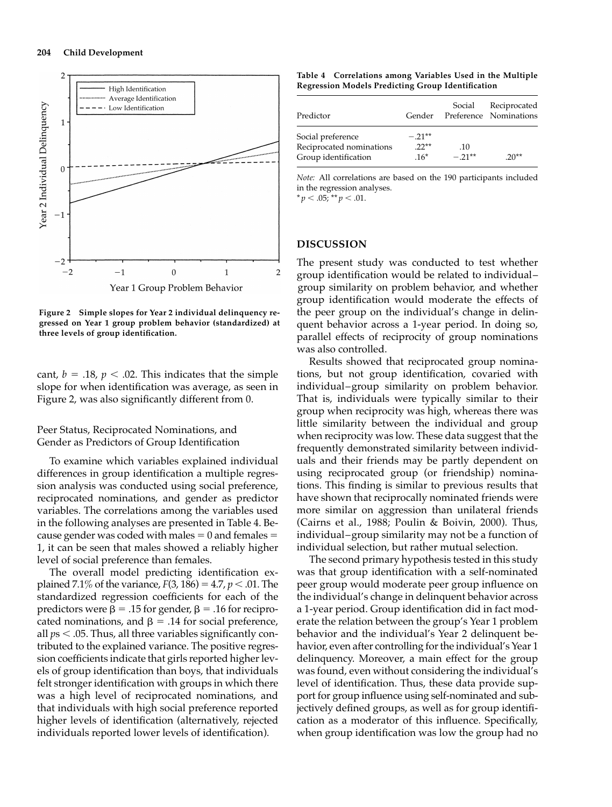

**Figure 2 Simple slopes for Year 2 individual delinquency regressed on Year 1 group problem behavior (standardized) at three levels of group identification.**

cant,  $b = .18$ ,  $p < .02$ . This indicates that the simple slope for when identification was average, as seen in Figure 2, was also significantly different from 0.

# Peer Status, Reciprocated Nominations, and Gender as Predictors of Group Identification

To examine which variables explained individual differences in group identification a multiple regression analysis was conducted using social preference, reciprocated nominations, and gender as predictor variables. The correlations among the variables used in the following analyses are presented in Table 4. Because gender was coded with males  $=$  0 and females  $=$ 1, it can be seen that males showed a reliably higher level of social preference than females.

The overall model predicting identification explained 7.1% of the variance, *F*(3, 186) = 4.7,  $p < .01$ . The standardized regression coefficients for each of the predictors were  $\beta = .15$  for gender,  $\beta = .16$  for reciprocated nominations, and  $\beta = .14$  for social preference, all  $ps < .05$ . Thus, all three variables significantly contributed to the explained variance. The positive regression coefficients indicate that girls reported higher levels of group identification than boys, that individuals felt stronger identification with groups in which there was a high level of reciprocated nominations, and that individuals with high social preference reported higher levels of identification (alternatively, rejected individuals reported lower levels of identification).

| Table 4 Correlations among Variables Used in the Multiple |  |  |
|-----------------------------------------------------------|--|--|
| <b>Regression Models Predicting Group Identification</b>  |  |  |

| Predictor                                                             | Gender                        | Social         | Reciprocated<br>Preference Nominations |
|-----------------------------------------------------------------------|-------------------------------|----------------|----------------------------------------|
| Social preference<br>Reciprocated nominations<br>Group identification | $-.21**$<br>$.22**$<br>$.16*$ | .10<br>$-21**$ | $20**$                                 |

*Note:* All correlations are based on the 190 participants included in the regression analyses.

 $* p < .05; ** p < .01.$ 

#### **DISCUSSION**

The present study was conducted to test whether group identification would be related to individual– group similarity on problem behavior, and whether group identification would moderate the effects of the peer group on the individual's change in delinquent behavior across a 1-year period. In doing so, parallel effects of reciprocity of group nominations was also controlled.

Results showed that reciprocated group nominations, but not group identification, covaried with individual–group similarity on problem behavior. That is, individuals were typically similar to their group when reciprocity was high, whereas there was little similarity between the individual and group when reciprocity was low. These data suggest that the frequently demonstrated similarity between individuals and their friends may be partly dependent on using reciprocated group (or friendship) nominations. This finding is similar to previous results that have shown that reciprocally nominated friends were more similar on aggression than unilateral friends (Cairns et al., 1988; Poulin & Boivin, 2000). Thus, individual–group similarity may not be a function of individual selection, but rather mutual selection.

The second primary hypothesis tested in this study was that group identification with a self-nominated peer group would moderate peer group influence on the individual's change in delinquent behavior across a 1-year period. Group identification did in fact moderate the relation between the group's Year 1 problem behavior and the individual's Year 2 delinquent behavior, even after controlling for the individual's Year 1 delinquency. Moreover, a main effect for the group was found, even without considering the individual's level of identification. Thus, these data provide support for group influence using self-nominated and subjectively defined groups, as well as for group identification as a moderator of this influence. Specifically, when group identification was low the group had no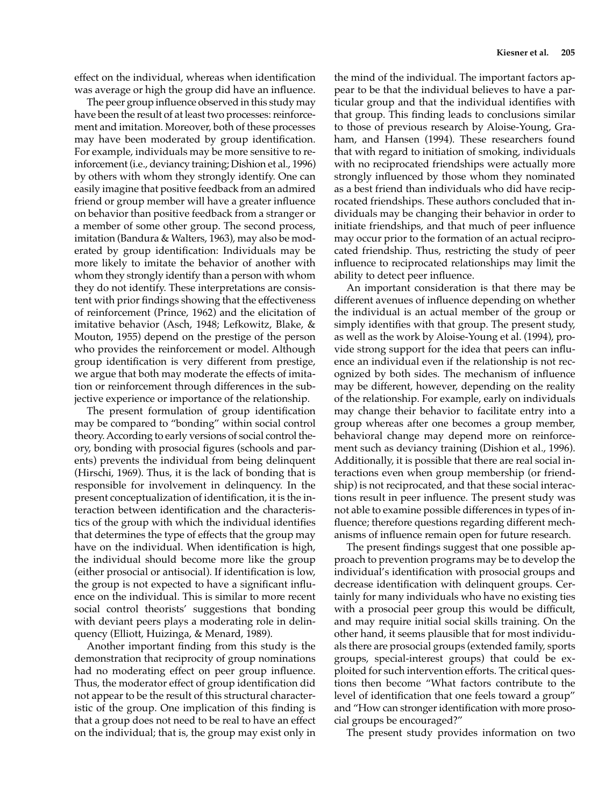effect on the individual, whereas when identification was average or high the group did have an influence.

The peer group influence observed in this study may have been the result of at least two processes: reinforcement and imitation. Moreover, both of these processes may have been moderated by group identification. For example, individuals may be more sensitive to reinforcement (i.e., deviancy training; Dishion et al., 1996) by others with whom they strongly identify. One can easily imagine that positive feedback from an admired friend or group member will have a greater influence on behavior than positive feedback from a stranger or a member of some other group. The second process, imitation (Bandura & Walters, 1963), may also be moderated by group identification: Individuals may be more likely to imitate the behavior of another with whom they strongly identify than a person with whom they do not identify. These interpretations are consistent with prior findings showing that the effectiveness of reinforcement (Prince, 1962) and the elicitation of imitative behavior (Asch, 1948; Lefkowitz, Blake, & Mouton, 1955) depend on the prestige of the person who provides the reinforcement or model. Although group identification is very different from prestige, we argue that both may moderate the effects of imitation or reinforcement through differences in the subjective experience or importance of the relationship.

The present formulation of group identification may be compared to "bonding" within social control theory. According to early versions of social control theory, bonding with prosocial figures (schools and parents) prevents the individual from being delinquent (Hirschi, 1969). Thus, it is the lack of bonding that is responsible for involvement in delinquency. In the present conceptualization of identification, it is the interaction between identification and the characteristics of the group with which the individual identifies that determines the type of effects that the group may have on the individual. When identification is high, the individual should become more like the group (either prosocial or antisocial). If identification is low, the group is not expected to have a significant influence on the individual. This is similar to more recent social control theorists' suggestions that bonding with deviant peers plays a moderating role in delinquency (Elliott, Huizinga, & Menard, 1989).

Another important finding from this study is the demonstration that reciprocity of group nominations had no moderating effect on peer group influence. Thus, the moderator effect of group identification did not appear to be the result of this structural characteristic of the group. One implication of this finding is that a group does not need to be real to have an effect on the individual; that is, the group may exist only in

the mind of the individual. The important factors appear to be that the individual believes to have a particular group and that the individual identifies with that group. This finding leads to conclusions similar to those of previous research by Aloise-Young, Graham, and Hansen (1994). These researchers found that with regard to initiation of smoking, individuals with no reciprocated friendships were actually more strongly influenced by those whom they nominated as a best friend than individuals who did have reciprocated friendships. These authors concluded that individuals may be changing their behavior in order to initiate friendships, and that much of peer influence may occur prior to the formation of an actual reciprocated friendship. Thus, restricting the study of peer influence to reciprocated relationships may limit the ability to detect peer influence.

An important consideration is that there may be different avenues of influence depending on whether the individual is an actual member of the group or simply identifies with that group. The present study, as well as the work by Aloise-Young et al. (1994), provide strong support for the idea that peers can influence an individual even if the relationship is not recognized by both sides. The mechanism of influence may be different, however, depending on the reality of the relationship. For example, early on individuals may change their behavior to facilitate entry into a group whereas after one becomes a group member, behavioral change may depend more on reinforcement such as deviancy training (Dishion et al., 1996). Additionally, it is possible that there are real social interactions even when group membership (or friendship) is not reciprocated, and that these social interactions result in peer influence. The present study was not able to examine possible differences in types of influence; therefore questions regarding different mechanisms of influence remain open for future research.

The present findings suggest that one possible approach to prevention programs may be to develop the individual's identification with prosocial groups and decrease identification with delinquent groups. Certainly for many individuals who have no existing ties with a prosocial peer group this would be difficult, and may require initial social skills training. On the other hand, it seems plausible that for most individuals there are prosocial groups (extended family, sports groups, special-interest groups) that could be exploited for such intervention efforts. The critical questions then become "What factors contribute to the level of identification that one feels toward a group" and "How can stronger identification with more prosocial groups be encouraged?"

The present study provides information on two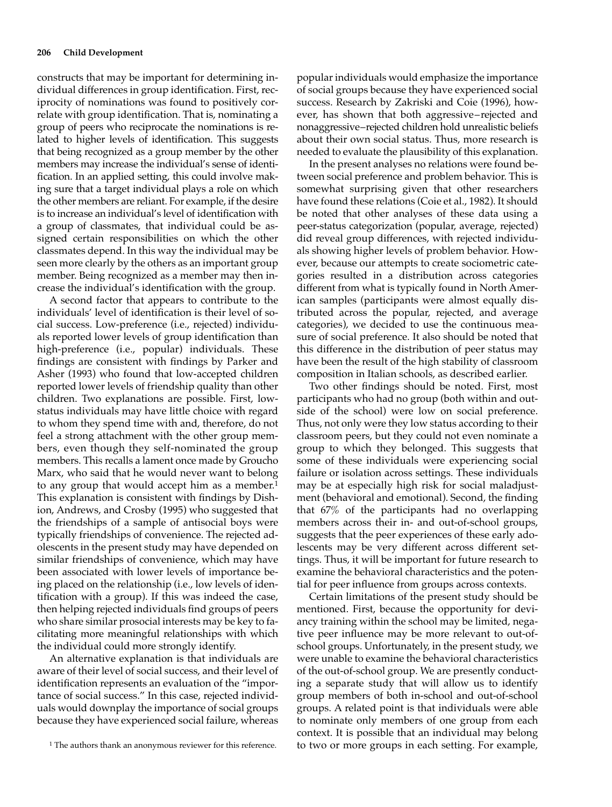constructs that may be important for determining individual differences in group identification. First, reciprocity of nominations was found to positively correlate with group identification. That is, nominating a group of peers who reciprocate the nominations is related to higher levels of identification. This suggests that being recognized as a group member by the other members may increase the individual's sense of identification. In an applied setting, this could involve making sure that a target individual plays a role on which the other members are reliant. For example, if the desire is to increase an individual's level of identification with a group of classmates, that individual could be assigned certain responsibilities on which the other classmates depend. In this way the individual may be seen more clearly by the others as an important group member. Being recognized as a member may then increase the individual's identification with the group.

A second factor that appears to contribute to the individuals' level of identification is their level of social success. Low-preference (i.e., rejected) individuals reported lower levels of group identification than high-preference (i.e., popular) individuals. These findings are consistent with findings by Parker and Asher (1993) who found that low-accepted children reported lower levels of friendship quality than other children. Two explanations are possible. First, lowstatus individuals may have little choice with regard to whom they spend time with and, therefore, do not feel a strong attachment with the other group members, even though they self-nominated the group members. This recalls a lament once made by Groucho Marx, who said that he would never want to belong to any group that would accept him as a member.<sup>1</sup> This explanation is consistent with findings by Dishion, Andrews, and Crosby (1995) who suggested that the friendships of a sample of antisocial boys were typically friendships of convenience. The rejected adolescents in the present study may have depended on similar friendships of convenience, which may have been associated with lower levels of importance being placed on the relationship (i.e., low levels of identification with a group). If this was indeed the case, then helping rejected individuals find groups of peers who share similar prosocial interests may be key to facilitating more meaningful relationships with which the individual could more strongly identify.

An alternative explanation is that individuals are aware of their level of social success, and their level of identification represents an evaluation of the "importance of social success." In this case, rejected individuals would downplay the importance of social groups because they have experienced social failure, whereas popular individuals would emphasize the importance of social groups because they have experienced social success. Research by Zakriski and Coie (1996), however, has shown that both aggressive–rejected and nonaggressive–rejected children hold unrealistic beliefs about their own social status. Thus, more research is needed to evaluate the plausibility of this explanation.

In the present analyses no relations were found between social preference and problem behavior. This is somewhat surprising given that other researchers have found these relations (Coie et al., 1982). It should be noted that other analyses of these data using a peer-status categorization (popular, average, rejected) did reveal group differences, with rejected individuals showing higher levels of problem behavior. However, because our attempts to create sociometric categories resulted in a distribution across categories different from what is typically found in North American samples (participants were almost equally distributed across the popular, rejected, and average categories), we decided to use the continuous measure of social preference. It also should be noted that this difference in the distribution of peer status may have been the result of the high stability of classroom composition in Italian schools, as described earlier.

Two other findings should be noted. First, most participants who had no group (both within and outside of the school) were low on social preference. Thus, not only were they low status according to their classroom peers, but they could not even nominate a group to which they belonged. This suggests that some of these individuals were experiencing social failure or isolation across settings. These individuals may be at especially high risk for social maladjustment (behavioral and emotional). Second, the finding that 67% of the participants had no overlapping members across their in- and out-of-school groups, suggests that the peer experiences of these early adolescents may be very different across different settings. Thus, it will be important for future research to examine the behavioral characteristics and the potential for peer influence from groups across contexts.

Certain limitations of the present study should be mentioned. First, because the opportunity for deviancy training within the school may be limited, negative peer influence may be more relevant to out-ofschool groups. Unfortunately, in the present study, we were unable to examine the behavioral characteristics of the out-of-school group. We are presently conducting a separate study that will allow us to identify group members of both in-school and out-of-school groups. A related point is that individuals were able to nominate only members of one group from each context. It is possible that an individual may belong <sup>1</sup> The authors thank an anonymous reviewer for this reference. **to two or more groups in each setting.** For example,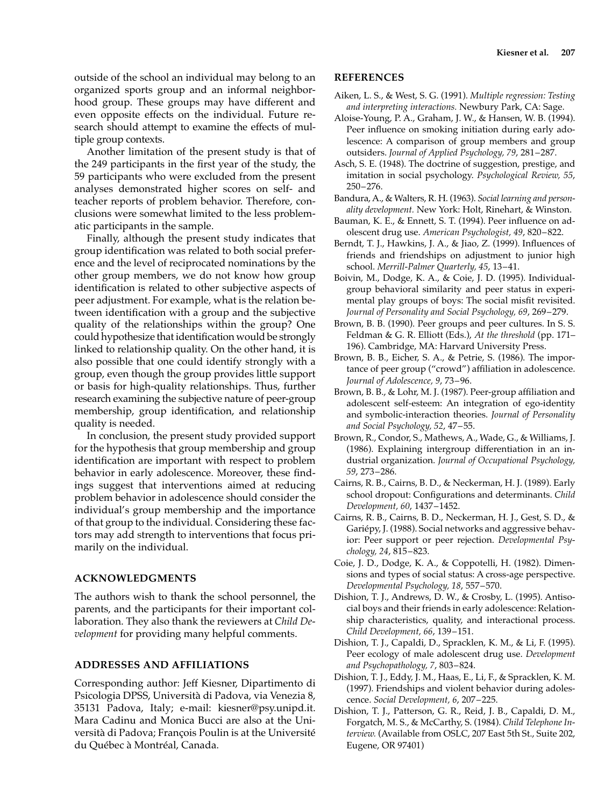outside of the school an individual may belong to an organized sports group and an informal neighborhood group. These groups may have different and even opposite effects on the individual. Future research should attempt to examine the effects of multiple group contexts.

Another limitation of the present study is that of the 249 participants in the first year of the study, the 59 participants who were excluded from the present analyses demonstrated higher scores on self- and teacher reports of problem behavior. Therefore, conclusions were somewhat limited to the less problematic participants in the sample.

Finally, although the present study indicates that group identification was related to both social preference and the level of reciprocated nominations by the other group members, we do not know how group identification is related to other subjective aspects of peer adjustment. For example, what is the relation between identification with a group and the subjective quality of the relationships within the group? One could hypothesize that identification would be strongly linked to relationship quality. On the other hand, it is also possible that one could identify strongly with a group, even though the group provides little support or basis for high-quality relationships. Thus, further research examining the subjective nature of peer-group membership, group identification, and relationship quality is needed.

In conclusion, the present study provided support for the hypothesis that group membership and group identification are important with respect to problem behavior in early adolescence. Moreover, these findings suggest that interventions aimed at reducing problem behavior in adolescence should consider the individual's group membership and the importance of that group to the individual. Considering these factors may add strength to interventions that focus primarily on the individual.

## **ACKNOWLEDGMENTS**

The authors wish to thank the school personnel, the parents, and the participants for their important collaboration. They also thank the reviewers at *Child Development* for providing many helpful comments.

## **ADDRESSES AND AFFILIATIONS**

Corresponding author: Jeff Kiesner, Dipartimento di Psicologia DPSS, Università di Padova, via Venezia 8, 35131 Padova, Italy; e-mail: kiesner@psy.unipd.it. Mara Cadinu and Monica Bucci are also at the Università di Padova; François Poulin is at the Université du Québec à Montréal, Canada.

#### **REFERENCES**

- Aiken, L. S., & West, S. G. (1991). *Multiple regression: Testing and interpreting interactions.* Newbury Park, CA: Sage.
- Aloise-Young, P. A., Graham, J. W., & Hansen, W. B. (1994). Peer influence on smoking initiation during early adolescence: A comparison of group members and group outsiders. *Journal of Applied Psychology, 79*, 281–287.
- Asch, S. E. (1948). The doctrine of suggestion, prestige, and imitation in social psychology. *Psychological Review, 55*, 250–276.
- Bandura, A., & Walters, R. H. (1963). *Social learning and personality development.* New York: Holt, Rinehart, & Winston.
- Bauman, K. E., & Ennett, S. T. (1994). Peer influence on adolescent drug use. *American Psychologist, 49*, 820–822.
- Berndt, T. J., Hawkins, J. A., & Jiao, Z. (1999). Influences of friends and friendships on adjustment to junior high school. *Merrill-Palmer Quarterly, 45*, 13–41.
- Boivin, M., Dodge, K. A., & Coie, J. D. (1995). Individualgroup behavioral similarity and peer status in experimental play groups of boys: The social misfit revisited. *Journal of Personality and Social Psychology, 69*, 269–279.
- Brown, B. B. (1990). Peer groups and peer cultures. In S. S. Feldman & G. R. Elliott (Eds.), *At the threshold* (pp. 171– 196). Cambridge, MA: Harvard University Press.
- Brown, B. B., Eicher, S. A., & Petrie, S. (1986). The importance of peer group ("crowd") affiliation in adolescence. *Journal of Adolescence, 9*, 73–96.
- Brown, B. B., & Lohr, M. J. (1987). Peer-group affiliation and adolescent self-esteem: An integration of ego-identity and symbolic-interaction theories. *Journal of Personality and Social Psychology, 52*, 47–55.
- Brown, R., Condor, S., Mathews, A., Wade, G., & Williams, J. (1986). Explaining intergroup differentiation in an industrial organization. *Journal of Occupational Psychology, 59*, 273–286.
- Cairns, R. B., Cairns, B. D., & Neckerman, H. J. (1989). Early school dropout: Configurations and determinants. *Child Development, 60*, 1437–1452.
- Cairns, R. B., Cairns, B. D., Neckerman, H. J., Gest, S. D., & Gariépy, J. (1988). Social networks and aggressive behavior: Peer support or peer rejection. *Developmental Psychology, 24*, 815–823.
- Coie, J. D., Dodge, K. A., & Coppotelli, H. (1982). Dimensions and types of social status: A cross-age perspective. *Developmental Psychology, 18*, 557–570.
- Dishion, T. J., Andrews, D. W., & Crosby, L. (1995). Antisocial boys and their friends in early adolescence: Relationship characteristics, quality, and interactional process. *Child Development, 66*, 139–151.
- Dishion, T. J., Capaldi, D., Spracklen, K. M., & Li, F. (1995). Peer ecology of male adolescent drug use. *Development and Psychopathology, 7*, 803–824.
- Dishion, T. J., Eddy, J. M., Haas, E., Li, F., & Spracklen, K. M. (1997). Friendships and violent behavior during adolescence. *Social Development, 6*, 207–225.
- Dishion, T. J., Patterson, G. R., Reid, J. B., Capaldi, D. M., Forgatch, M. S., & McCarthy, S. (1984). *Child Telephone Interview.* (Available from OSLC, 207 East 5th St., Suite 202, Eugene, OR 97401)